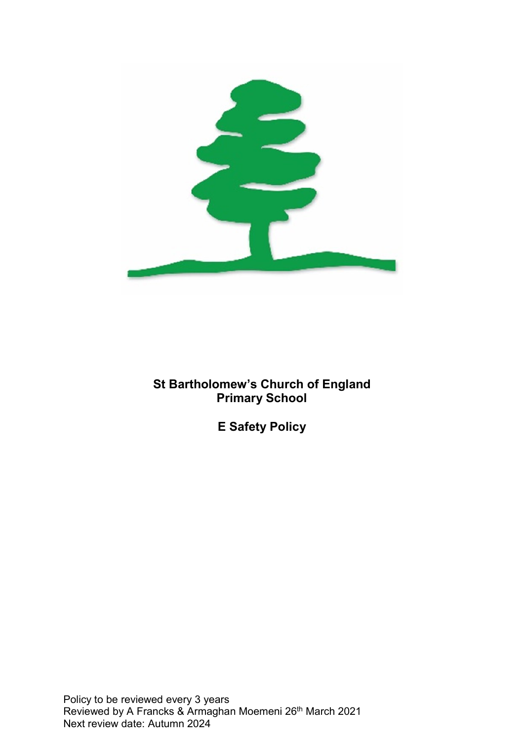

St Bartholomew's Church of England Primary School

E Safety Policy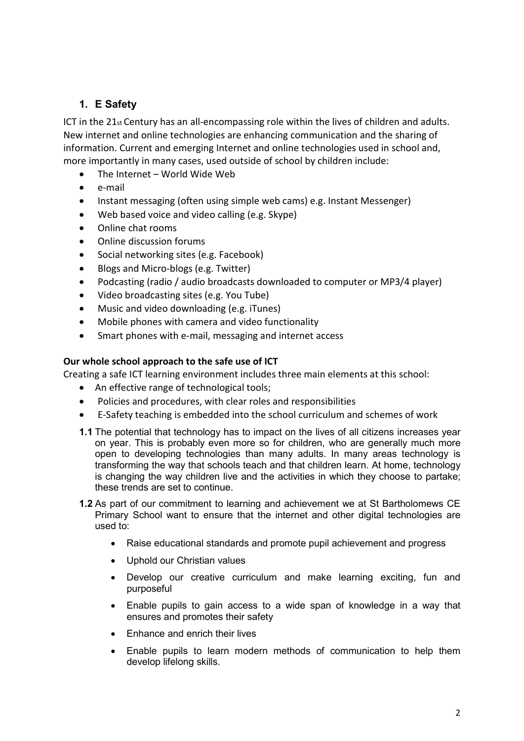# 1. E Safety

ICT in the 21st Century has an all-encompassing role within the lives of children and adults. New internet and online technologies are enhancing communication and the sharing of information. Current and emerging Internet and online technologies used in school and, more importantly in many cases, used outside of school by children include:

- The Internet World Wide Web
- e-mail
- Instant messaging (often using simple web cams) e.g. Instant Messenger)
- Web based voice and video calling (e.g. Skype)
- Online chat rooms
- Online discussion forums
- Social networking sites (e.g. Facebook)
- Blogs and Micro-blogs (e.g. Twitter)
- Podcasting (radio / audio broadcasts downloaded to computer or MP3/4 player)
- Video broadcasting sites (e.g. You Tube)
- Music and video downloading (e.g. iTunes)
- Mobile phones with camera and video functionality
- Smart phones with e-mail, messaging and internet access

### Our whole school approach to the safe use of ICT

Creating a safe ICT learning environment includes three main elements at this school:

- An effective range of technological tools;
- Policies and procedures, with clear roles and responsibilities
- E-Safety teaching is embedded into the school curriculum and schemes of work
- 1.1 The potential that technology has to impact on the lives of all citizens increases year on year. This is probably even more so for children, who are generally much more open to developing technologies than many adults. In many areas technology is transforming the way that schools teach and that children learn. At home, technology is changing the way children live and the activities in which they choose to partake; these trends are set to continue.
- 1.2 As part of our commitment to learning and achievement we at St Bartholomews CE Primary School want to ensure that the internet and other digital technologies are used to:
	- Raise educational standards and promote pupil achievement and progress
	- Uphold our Christian values
	- Develop our creative curriculum and make learning exciting, fun and purposeful
	- Enable pupils to gain access to a wide span of knowledge in a way that ensures and promotes their safety
	- Enhance and enrich their lives
	- Enable pupils to learn modern methods of communication to help them develop lifelong skills.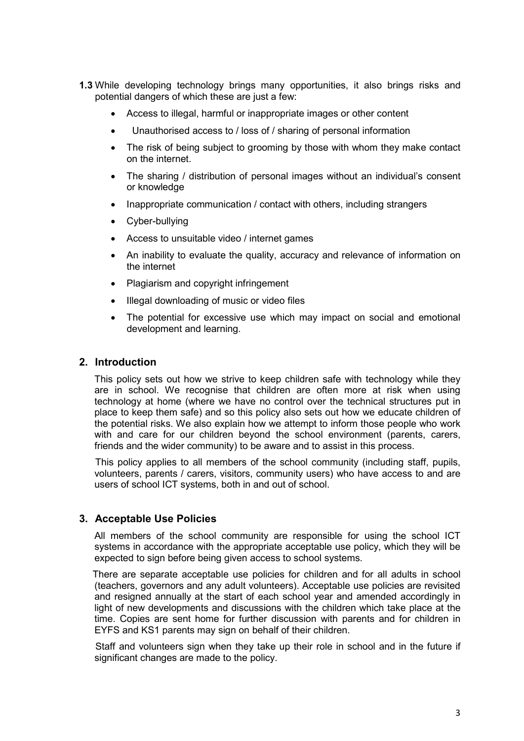- 1.3 While developing technology brings many opportunities, it also brings risks and potential dangers of which these are just a few:
	- Access to illegal, harmful or inappropriate images or other content
	- Unauthorised access to / loss of / sharing of personal information
	- The risk of being subject to grooming by those with whom they make contact on the internet.
	- The sharing / distribution of personal images without an individual's consent or knowledge
	- Inappropriate communication / contact with others, including strangers
	- Cyber-bullying
	- Access to unsuitable video / internet games
	- An inability to evaluate the quality, accuracy and relevance of information on the internet
	- Plagiarism and copyright infringement
	- Illegal downloading of music or video files
	- The potential for excessive use which may impact on social and emotional development and learning.

## 2. Introduction

This policy sets out how we strive to keep children safe with technology while they are in school. We recognise that children are often more at risk when using technology at home (where we have no control over the technical structures put in place to keep them safe) and so this policy also sets out how we educate children of the potential risks. We also explain how we attempt to inform those people who work with and care for our children beyond the school environment (parents, carers, friends and the wider community) to be aware and to assist in this process.

 This policy applies to all members of the school community (including staff, pupils, volunteers, parents / carers, visitors, community users) who have access to and are users of school ICT systems, both in and out of school.

### 3. Acceptable Use Policies

All members of the school community are responsible for using the school ICT systems in accordance with the appropriate acceptable use policy, which they will be expected to sign before being given access to school systems.

 There are separate acceptable use policies for children and for all adults in school (teachers, governors and any adult volunteers). Acceptable use policies are revisited and resigned annually at the start of each school year and amended accordingly in light of new developments and discussions with the children which take place at the time. Copies are sent home for further discussion with parents and for children in EYFS and KS1 parents may sign on behalf of their children.

 Staff and volunteers sign when they take up their role in school and in the future if significant changes are made to the policy.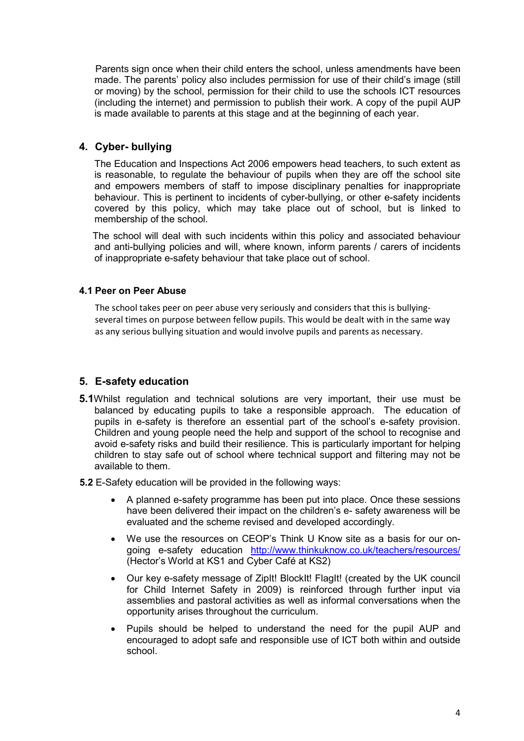Parents sign once when their child enters the school, unless amendments have been made. The parents' policy also includes permission for use of their child's image (still or moving) by the school, permission for their child to use the schools ICT resources (including the internet) and permission to publish their work. A copy of the pupil AUP is made available to parents at this stage and at the beginning of each year.

# 4. Cyber- bullying

The Education and Inspections Act 2006 empowers head teachers, to such extent as is reasonable, to regulate the behaviour of pupils when they are off the school site and empowers members of staff to impose disciplinary penalties for inappropriate behaviour. This is pertinent to incidents of cyber-bullying, or other e-safety incidents covered by this policy, which may take place out of school, but is linked to membership of the school.

 The school will deal with such incidents within this policy and associated behaviour and anti-bullying policies and will, where known, inform parents / carers of incidents of inappropriate e-safety behaviour that take place out of school.

## 4.1 Peer on Peer Abuse

The school takes peer on peer abuse very seriously and considers that this is bullyingseveral times on purpose between fellow pupils. This would be dealt with in the same way as any serious bullying situation and would involve pupils and parents as necessary.

## 5. E-safety education

5.1Whilst regulation and technical solutions are very important, their use must be balanced by educating pupils to take a responsible approach. The education of pupils in e-safety is therefore an essential part of the school's e-safety provision. Children and young people need the help and support of the school to recognise and avoid e-safety risks and build their resilience. This is particularly important for helping children to stay safe out of school where technical support and filtering may not be available to them.

5.2 E-Safety education will be provided in the following ways:

- A planned e-safety programme has been put into place. Once these sessions have been delivered their impact on the children's e- safety awareness will be evaluated and the scheme revised and developed accordingly.
- We use the resources on CEOP's Think U Know site as a basis for our ongoing e-safety education http://www.thinkuknow.co.uk/teachers/resources/ (Hector's World at KS1 and Cyber Café at KS2)
- Our key e-safety message of ZipIt! BlockIt! FlagIt! (created by the UK council for Child Internet Safety in 2009) is reinforced through further input via assemblies and pastoral activities as well as informal conversations when the opportunity arises throughout the curriculum.
- Pupils should be helped to understand the need for the pupil AUP and encouraged to adopt safe and responsible use of ICT both within and outside school.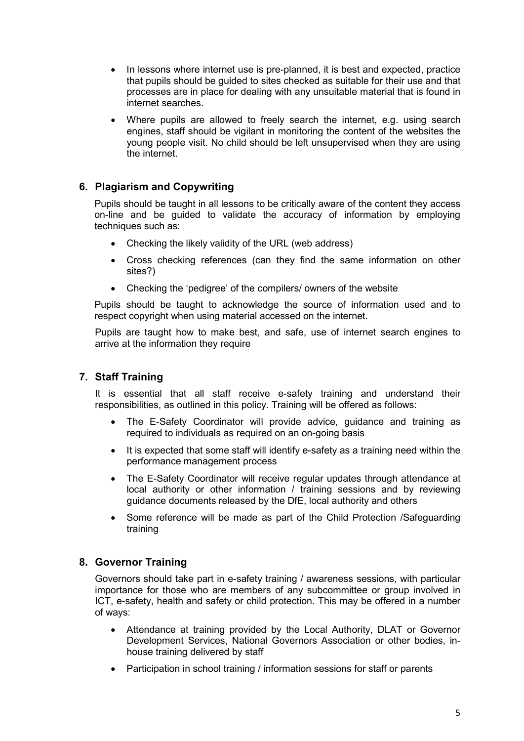- In lessons where internet use is pre-planned, it is best and expected, practice that pupils should be guided to sites checked as suitable for their use and that processes are in place for dealing with any unsuitable material that is found in internet searches.
- Where pupils are allowed to freely search the internet, e.g. using search engines, staff should be vigilant in monitoring the content of the websites the young people visit. No child should be left unsupervised when they are using the internet.

# 6. Plagiarism and Copywriting

Pupils should be taught in all lessons to be critically aware of the content they access on-line and be guided to validate the accuracy of information by employing techniques such as:

- Checking the likely validity of the URL (web address)
- Cross checking references (can they find the same information on other sites?)
- Checking the 'pedigree' of the compilers/ owners of the website

Pupils should be taught to acknowledge the source of information used and to respect copyright when using material accessed on the internet.

Pupils are taught how to make best, and safe, use of internet search engines to arrive at the information they require

# 7. Staff Training

It is essential that all staff receive e-safety training and understand their responsibilities, as outlined in this policy. Training will be offered as follows:

- The E-Safety Coordinator will provide advice, guidance and training as required to individuals as required on an on-going basis
- It is expected that some staff will identify e-safety as a training need within the performance management process
- The E-Safety Coordinator will receive regular updates through attendance at local authority or other information / training sessions and by reviewing guidance documents released by the DfE, local authority and others
- Some reference will be made as part of the Child Protection /Safeguarding training

## 8. Governor Training

Governors should take part in e-safety training / awareness sessions, with particular importance for those who are members of any subcommittee or group involved in ICT, e-safety, health and safety or child protection. This may be offered in a number of ways:

- Attendance at training provided by the Local Authority, DLAT or Governor Development Services, National Governors Association or other bodies, inhouse training delivered by staff
- Participation in school training / information sessions for staff or parents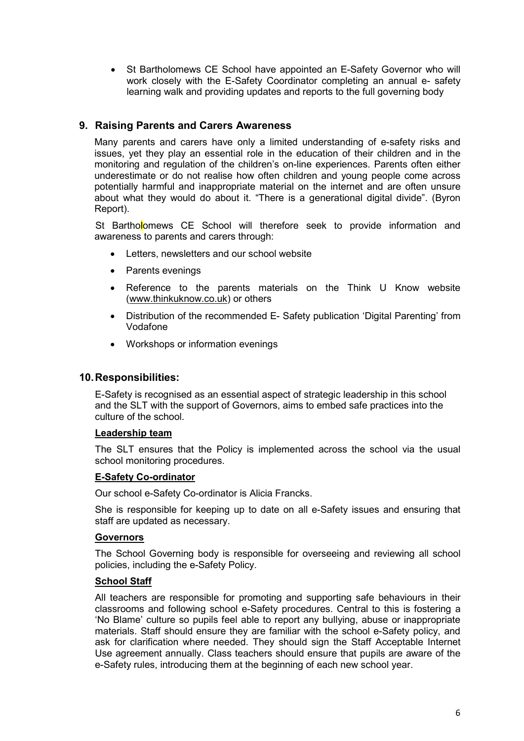• St Bartholomews CE School have appointed an E-Safety Governor who will work closely with the E-Safety Coordinator completing an annual e- safety learning walk and providing updates and reports to the full governing body

## 9. Raising Parents and Carers Awareness

Many parents and carers have only a limited understanding of e-safety risks and issues, yet they play an essential role in the education of their children and in the monitoring and regulation of the children's on-line experiences. Parents often either underestimate or do not realise how often children and young people come across potentially harmful and inappropriate material on the internet and are often unsure about what they would do about it. "There is a generational digital divide". (Byron Report).

St Bartholomews CE School will therefore seek to provide information and awareness to parents and carers through:

- Letters, newsletters and our school website
- Parents evenings
- Reference to the parents materials on the Think U Know website (www.thinkuknow.co.uk) or others
- Distribution of the recommended E- Safety publication 'Digital Parenting' from Vodafone
- Workshops or information evenings

### 10. Responsibilities:

E-Safety is recognised as an essential aspect of strategic leadership in this school and the SLT with the support of Governors, aims to embed safe practices into the culture of the school.

#### Leadership team

The SLT ensures that the Policy is implemented across the school via the usual school monitoring procedures.

#### E-Safety Co-ordinator

Our school e-Safety Co-ordinator is Alicia Francks.

She is responsible for keeping up to date on all e-Safety issues and ensuring that staff are updated as necessary.

#### **Governors**

The School Governing body is responsible for overseeing and reviewing all school policies, including the e-Safety Policy.

#### School Staff

All teachers are responsible for promoting and supporting safe behaviours in their classrooms and following school e-Safety procedures. Central to this is fostering a 'No Blame' culture so pupils feel able to report any bullying, abuse or inappropriate materials. Staff should ensure they are familiar with the school e-Safety policy, and ask for clarification where needed. They should sign the Staff Acceptable Internet Use agreement annually. Class teachers should ensure that pupils are aware of the e-Safety rules, introducing them at the beginning of each new school year.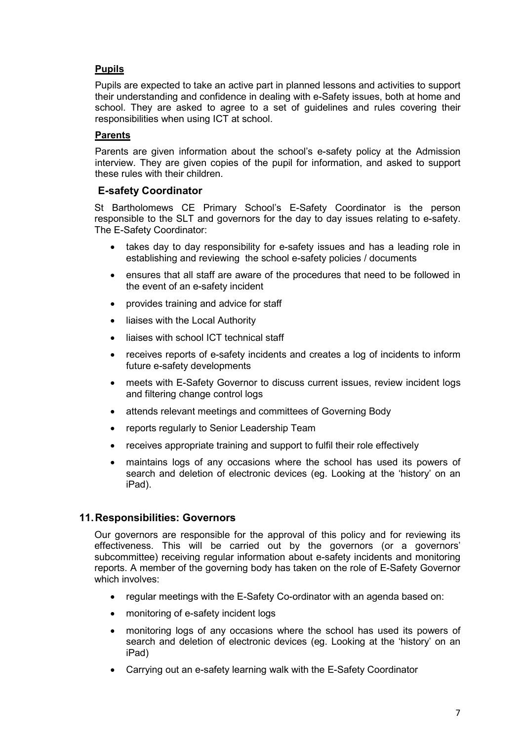# Pupils

Pupils are expected to take an active part in planned lessons and activities to support their understanding and confidence in dealing with e-Safety issues, both at home and school. They are asked to agree to a set of guidelines and rules covering their responsibilities when using ICT at school.

# Parents

Parents are given information about the school's e-safety policy at the Admission interview. They are given copies of the pupil for information, and asked to support these rules with their children.

# E-safety Coordinator

St Bartholomews CE Primary School's E-Safety Coordinator is the person responsible to the SLT and governors for the day to day issues relating to e-safety. The E-Safety Coordinator:

- takes day to day responsibility for e-safety issues and has a leading role in establishing and reviewing the school e-safety policies / documents
- ensures that all staff are aware of the procedures that need to be followed in the event of an e-safety incident
- provides training and advice for staff
- liaises with the Local Authority
- liaises with school ICT technical staff
- receives reports of e-safety incidents and creates a log of incidents to inform future e-safety developments
- meets with E-Safety Governor to discuss current issues, review incident logs and filtering change control logs
- attends relevant meetings and committees of Governing Body
- reports regularly to Senior Leadership Team
- receives appropriate training and support to fulfil their role effectively
- maintains logs of any occasions where the school has used its powers of search and deletion of electronic devices (eg. Looking at the 'history' on an iPad).

## 11. Responsibilities: Governors

Our governors are responsible for the approval of this policy and for reviewing its effectiveness. This will be carried out by the governors (or a governors' subcommittee) receiving regular information about e-safety incidents and monitoring reports. A member of the governing body has taken on the role of E-Safety Governor which involves:

- regular meetings with the E-Safety Co-ordinator with an agenda based on:
- monitoring of e-safety incident logs
- monitoring logs of any occasions where the school has used its powers of search and deletion of electronic devices (eg. Looking at the 'history' on an iPad)
- Carrying out an e-safety learning walk with the E-Safety Coordinator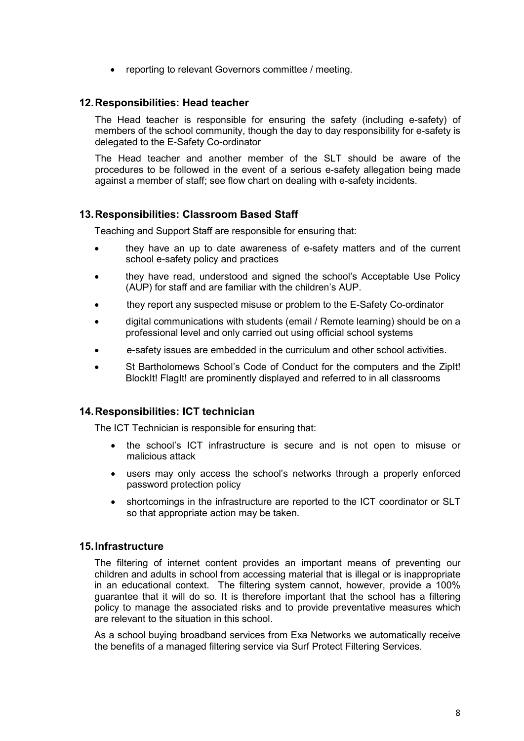• reporting to relevant Governors committee / meeting.

## 12. Responsibilities: Head teacher

The Head teacher is responsible for ensuring the safety (including e-safety) of members of the school community, though the day to day responsibility for e-safety is delegated to the E-Safety Co-ordinator

The Head teacher and another member of the SLT should be aware of the procedures to be followed in the event of a serious e-safety allegation being made against a member of staff; see flow chart on dealing with e-safety incidents.

## 13. Responsibilities: Classroom Based Staff

Teaching and Support Staff are responsible for ensuring that:

- they have an up to date awareness of e-safety matters and of the current school e-safety policy and practices
- they have read, understood and signed the school's Acceptable Use Policy (AUP) for staff and are familiar with the children's AUP.
- they report any suspected misuse or problem to the E-Safety Co-ordinator
- digital communications with students (email / Remote learning) should be on a professional level and only carried out using official school systems
- e-safety issues are embedded in the curriculum and other school activities.
- St Bartholomews School's Code of Conduct for the computers and the ZipIt! BlockIt! FlagIt! are prominently displayed and referred to in all classrooms

### 14. Responsibilities: ICT technician

The ICT Technician is responsible for ensuring that:

- the school's ICT infrastructure is secure and is not open to misuse or malicious attack
- users may only access the school's networks through a properly enforced password protection policy
- shortcomings in the infrastructure are reported to the ICT coordinator or SLT so that appropriate action may be taken.

### 15. Infrastructure

The filtering of internet content provides an important means of preventing our children and adults in school from accessing material that is illegal or is inappropriate in an educational context. The filtering system cannot, however, provide a 100% guarantee that it will do so. It is therefore important that the school has a filtering policy to manage the associated risks and to provide preventative measures which are relevant to the situation in this school.

As a school buying broadband services from Exa Networks we automatically receive the benefits of a managed filtering service via Surf Protect Filtering Services.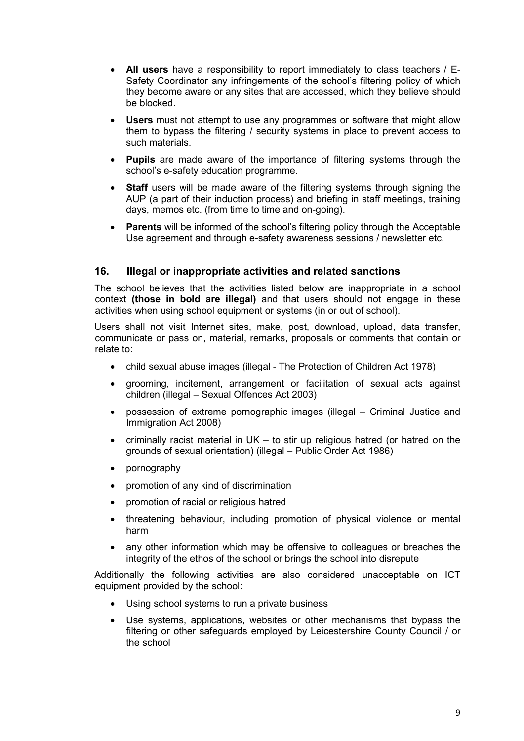- All users have a responsibility to report immediately to class teachers / E-Safety Coordinator any infringements of the school's filtering policy of which they become aware or any sites that are accessed, which they believe should be blocked.
- Users must not attempt to use any programmes or software that might allow them to bypass the filtering / security systems in place to prevent access to such materials.
- Pupils are made aware of the importance of filtering systems through the school's e-safety education programme.
- Staff users will be made aware of the filtering systems through signing the AUP (a part of their induction process) and briefing in staff meetings, training days, memos etc. (from time to time and on-going).
- Parents will be informed of the school's filtering policy through the Acceptable Use agreement and through e-safety awareness sessions / newsletter etc.

## 16. Illegal or inappropriate activities and related sanctions

The school believes that the activities listed below are inappropriate in a school context (those in bold are illegal) and that users should not engage in these activities when using school equipment or systems (in or out of school).

Users shall not visit Internet sites, make, post, download, upload, data transfer, communicate or pass on, material, remarks, proposals or comments that contain or relate to:

- child sexual abuse images (illegal The Protection of Children Act 1978)
- grooming, incitement, arrangement or facilitation of sexual acts against children (illegal – Sexual Offences Act 2003)
- possession of extreme pornographic images (illegal Criminal Justice and Immigration Act 2008)
- criminally racist material in  $UK -$  to stir up religious hatred (or hatred on the grounds of sexual orientation) (illegal – Public Order Act 1986)
- pornography
- promotion of any kind of discrimination
- promotion of racial or religious hatred
- threatening behaviour, including promotion of physical violence or mental harm
- any other information which may be offensive to colleagues or breaches the integrity of the ethos of the school or brings the school into disrepute

Additionally the following activities are also considered unacceptable on ICT equipment provided by the school:

- Using school systems to run a private business
- Use systems, applications, websites or other mechanisms that bypass the filtering or other safeguards employed by Leicestershire County Council / or the school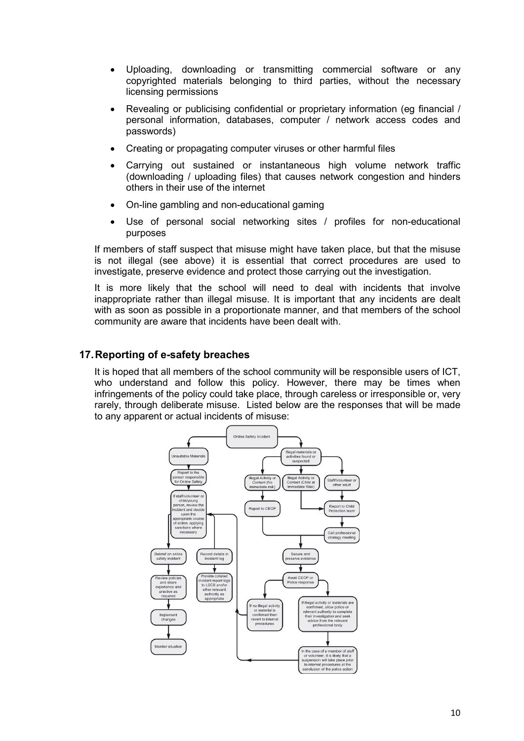- Uploading, downloading or transmitting commercial software or any copyrighted materials belonging to third parties, without the necessary licensing permissions
- Revealing or publicising confidential or proprietary information (eg financial / personal information, databases, computer / network access codes and passwords)
- Creating or propagating computer viruses or other harmful files
- Carrying out sustained or instantaneous high volume network traffic (downloading / uploading files) that causes network congestion and hinders others in their use of the internet
- On-line gambling and non-educational gaming
- Use of personal social networking sites / profiles for non-educational purposes

If members of staff suspect that misuse might have taken place, but that the misuse is not illegal (see above) it is essential that correct procedures are used to investigate, preserve evidence and protect those carrying out the investigation.

It is more likely that the school will need to deal with incidents that involve inappropriate rather than illegal misuse. It is important that any incidents are dealt with as soon as possible in a proportionate manner, and that members of the school community are aware that incidents have been dealt with.

## 17. Reporting of e-safety breaches

It is hoped that all members of the school community will be responsible users of ICT, who understand and follow this policy. However, there may be times when infringements of the policy could take place, through careless or irresponsible or, very rarely, through deliberate misuse. Listed below are the responses that will be made to any apparent or actual incidents of misuse:

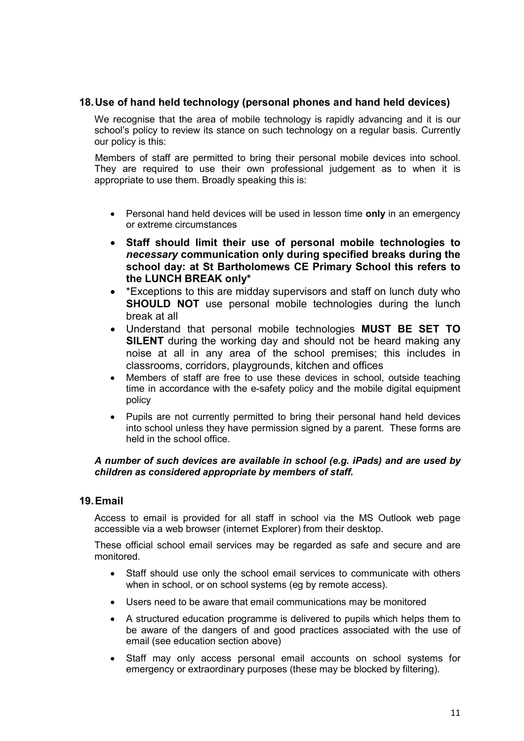# 18. Use of hand held technology (personal phones and hand held devices)

We recognise that the area of mobile technology is rapidly advancing and it is our school's policy to review its stance on such technology on a regular basis. Currently our policy is this:

Members of staff are permitted to bring their personal mobile devices into school. They are required to use their own professional judgement as to when it is appropriate to use them. Broadly speaking this is:

- Personal hand held devices will be used in lesson time only in an emergency or extreme circumstances
- Staff should limit their use of personal mobile technologies to necessary communication only during specified breaks during the school day: at St Bartholomews CE Primary School this refers to the LUNCH BREAK only\*
- \*Exceptions to this are midday supervisors and staff on lunch duty who SHOULD NOT use personal mobile technologies during the lunch break at all
- Understand that personal mobile technologies MUST BE SET TO SILENT during the working day and should not be heard making any noise at all in any area of the school premises; this includes in classrooms, corridors, playgrounds, kitchen and offices
- Members of staff are free to use these devices in school, outside teaching time in accordance with the e-safety policy and the mobile digital equipment policy
- Pupils are not currently permitted to bring their personal hand held devices into school unless they have permission signed by a parent. These forms are held in the school office.

#### A number of such devices are available in school (e.g. iPads) and are used by children as considered appropriate by members of staff.

## 19. Email

Access to email is provided for all staff in school via the MS Outlook web page accessible via a web browser (internet Explorer) from their desktop.

These official school email services may be regarded as safe and secure and are monitored.

- Staff should use only the school email services to communicate with others when in school, or on school systems (eg by remote access).
- Users need to be aware that email communications may be monitored
- A structured education programme is delivered to pupils which helps them to be aware of the dangers of and good practices associated with the use of email (see education section above)
- Staff may only access personal email accounts on school systems for emergency or extraordinary purposes (these may be blocked by filtering).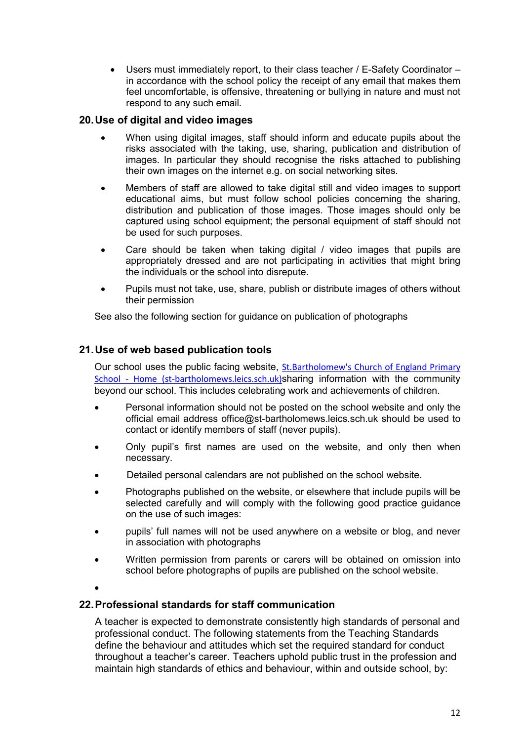Users must immediately report, to their class teacher / E-Safety Coordinator – in accordance with the school policy the receipt of any email that makes them feel uncomfortable, is offensive, threatening or bullying in nature and must not respond to any such email.

# 20. Use of digital and video images

- When using digital images, staff should inform and educate pupils about the risks associated with the taking, use, sharing, publication and distribution of images. In particular they should recognise the risks attached to publishing their own images on the internet e.g. on social networking sites.
- Members of staff are allowed to take digital still and video images to support educational aims, but must follow school policies concerning the sharing, distribution and publication of those images. Those images should only be captured using school equipment; the personal equipment of staff should not be used for such purposes.
- Care should be taken when taking digital / video images that pupils are appropriately dressed and are not participating in activities that might bring the individuals or the school into disrepute.
- Pupils must not take, use, share, publish or distribute images of others without their permission

See also the following section for guidance on publication of photographs

## 21. Use of web based publication tools

Our school uses the public facing website, St.Bartholomew's Church of England Primary School - Home (st-bartholomews.leics.sch.uk)sharing information with the community beyond our school. This includes celebrating work and achievements of children.

- Personal information should not be posted on the school website and only the official email address office@st-bartholomews.leics.sch.uk should be used to contact or identify members of staff (never pupils).
- Only pupil's first names are used on the website, and only then when necessary.
- Detailed personal calendars are not published on the school website.
- Photographs published on the website, or elsewhere that include pupils will be selected carefully and will comply with the following good practice guidance on the use of such images:
- pupils' full names will not be used anywhere on a website or blog, and never in association with photographs
- Written permission from parents or carers will be obtained on omission into school before photographs of pupils are published on the school website.
- $\bullet$

## 22. Professional standards for staff communication

A teacher is expected to demonstrate consistently high standards of personal and professional conduct. The following statements from the Teaching Standards define the behaviour and attitudes which set the required standard for conduct throughout a teacher's career. Teachers uphold public trust in the profession and maintain high standards of ethics and behaviour, within and outside school, by: